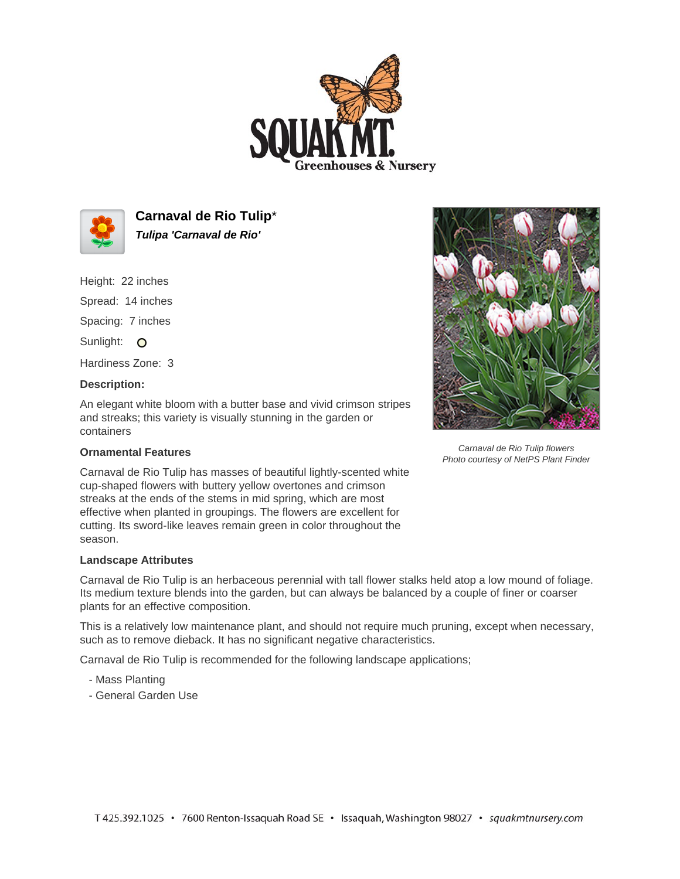



**Carnaval de Rio Tulip**\* **Tulipa 'Carnaval de Rio'**

Height: 22 inches

Spread: 14 inches Spacing: 7 inches

Sunlight: O

Hardiness Zone: 3

## **Description:**

An elegant white bloom with a butter base and vivid crimson stripes and streaks; this variety is visually stunning in the garden or containers

## **Ornamental Features**

Carnaval de Rio Tulip has masses of beautiful lightly-scented white cup-shaped flowers with buttery yellow overtones and crimson streaks at the ends of the stems in mid spring, which are most effective when planted in groupings. The flowers are excellent for cutting. Its sword-like leaves remain green in color throughout the season.

## **Landscape Attributes**

Carnaval de Rio Tulip is an herbaceous perennial with tall flower stalks held atop a low mound of foliage. Its medium texture blends into the garden, but can always be balanced by a couple of finer or coarser plants for an effective composition.

This is a relatively low maintenance plant, and should not require much pruning, except when necessary, such as to remove dieback. It has no significant negative characteristics.

Carnaval de Rio Tulip is recommended for the following landscape applications;

- Mass Planting
- General Garden Use



Carnaval de Rio Tulip flowers Photo courtesy of NetPS Plant Finder